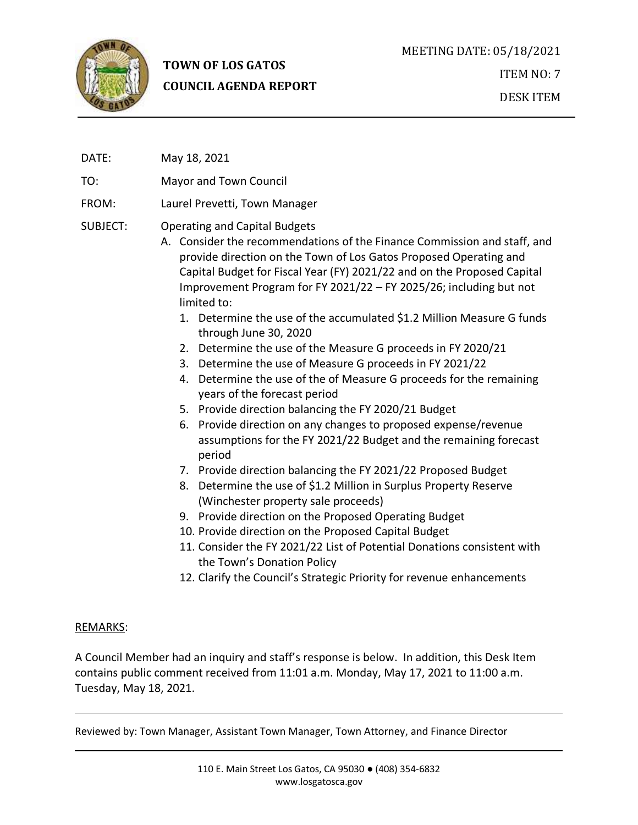

# **TOWN OF LOS GATOS COUNCIL AGENDA REPORT**

DATE: May 18, 2021

TO: Mayor and Town Council

FROM: Laurel Prevetti, Town Manager

### SUBJECT: Operating and Capital Budgets

- A. Consider the recommendations of the Finance Commission and staff, and provide direction on the Town of Los Gatos Proposed Operating and Capital Budget for Fiscal Year (FY) 2021/22 and on the Proposed Capital Improvement Program for FY 2021/22 – FY 2025/26; including but not limited to:
	- 1. Determine the use of the accumulated \$1.2 Million Measure G funds through June 30, 2020
	- 2. Determine the use of the Measure G proceeds in FY 2020/21
	- 3. Determine the use of Measure G proceeds in FY 2021/22
	- 4. Determine the use of the of Measure G proceeds for the remaining years of the forecast period
	- 5. Provide direction balancing the FY 2020/21 Budget
	- 6. Provide direction on any changes to proposed expense/revenue assumptions for the FY 2021/22 Budget and the remaining forecast period
	- 7. Provide direction balancing the FY 2021/22 Proposed Budget
	- 8. Determine the use of \$1.2 Million in Surplus Property Reserve (Winchester property sale proceeds)
	- 9. Provide direction on the Proposed Operating Budget
	- 10. Provide direction on the Proposed Capital Budget
	- 11. Consider the FY 2021/22 List of Potential Donations consistent with the Town's Donation Policy
	- 12. Clarify the Council's Strategic Priority for revenue enhancements

#### REMARKS:

A Council Member had an inquiry and staff's response is below. In addition, this Desk Item contains public comment received from 11:01 a.m. Monday, May 17, 2021 to 11:00 a.m. Tuesday, May 18, 2021.

Reviewed by: Town Manager, Assistant Town Manager, Town Attorney, and Finance Director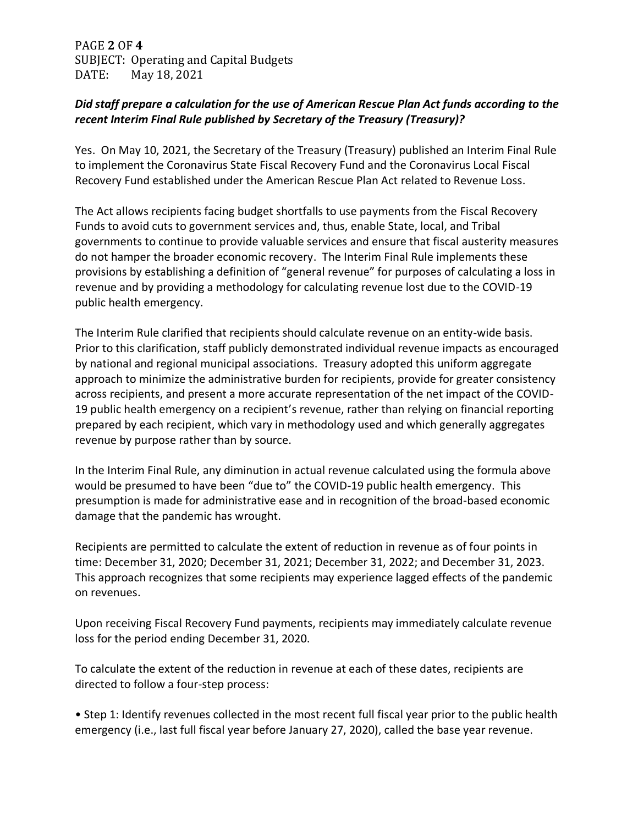PAGE **2** OF **4** SUBJECT: Operating and Capital Budgets DATE: May 18, 2021

### *Did staff prepare a calculation for the use of American Rescue Plan Act funds according to the recent Interim Final Rule published by Secretary of the Treasury (Treasury)?*

Yes. On May 10, 2021, the Secretary of the Treasury (Treasury) published an Interim Final Rule to implement the Coronavirus State Fiscal Recovery Fund and the Coronavirus Local Fiscal Recovery Fund established under the American Rescue Plan Act related to Revenue Loss.

The Act allows recipients facing budget shortfalls to use payments from the Fiscal Recovery Funds to avoid cuts to government services and, thus, enable State, local, and Tribal governments to continue to provide valuable services and ensure that fiscal austerity measures do not hamper the broader economic recovery. The Interim Final Rule implements these provisions by establishing a definition of "general revenue" for purposes of calculating a loss in revenue and by providing a methodology for calculating revenue lost due to the COVID-19 public health emergency.

The Interim Rule clarified that recipients should calculate revenue on an entity-wide basis. Prior to this clarification, staff publicly demonstrated individual revenue impacts as encouraged by national and regional municipal associations. Treasury adopted this uniform aggregate approach to minimize the administrative burden for recipients, provide for greater consistency across recipients, and present a more accurate representation of the net impact of the COVID-19 public health emergency on a recipient's revenue, rather than relying on financial reporting prepared by each recipient, which vary in methodology used and which generally aggregates revenue by purpose rather than by source.

In the Interim Final Rule, any diminution in actual revenue calculated using the formula above would be presumed to have been "due to" the COVID-19 public health emergency. This presumption is made for administrative ease and in recognition of the broad-based economic damage that the pandemic has wrought.

Recipients are permitted to calculate the extent of reduction in revenue as of four points in time: December 31, 2020; December 31, 2021; December 31, 2022; and December 31, 2023. This approach recognizes that some recipients may experience lagged effects of the pandemic on revenues.

Upon receiving Fiscal Recovery Fund payments, recipients may immediately calculate revenue loss for the period ending December 31, 2020.

To calculate the extent of the reduction in revenue at each of these dates, recipients are directed to follow a four-step process:

• Step 1: Identify revenues collected in the most recent full fiscal year prior to the public health emergency (i.e., last full fiscal year before January 27, 2020), called the base year revenue.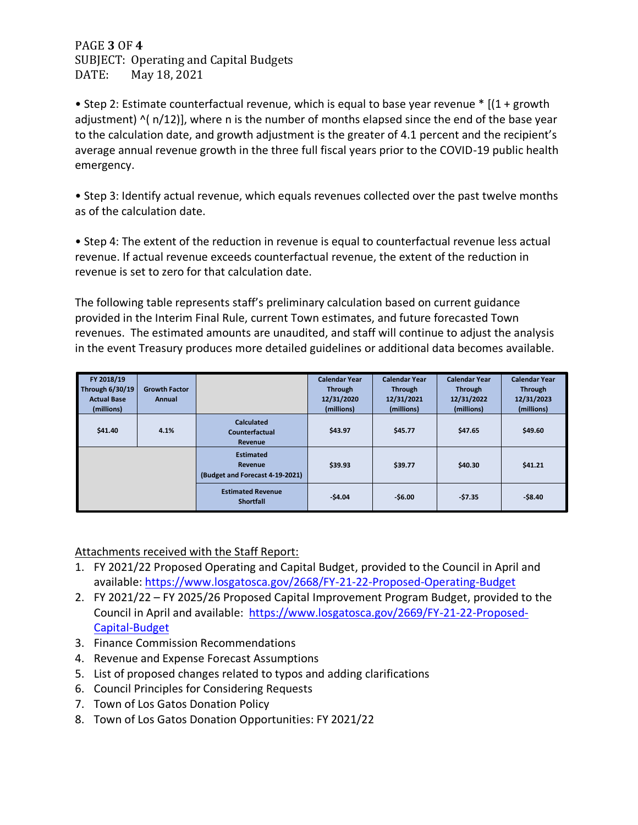PAGE **3** OF **4** SUBJECT: Operating and Capital Budgets DATE: May 18, 2021

• Step 2: Estimate counterfactual revenue, which is equal to base year revenue \* [(1 + growth adjustment)  $\frac{(n/12)}{2}$ , where n is the number of months elapsed since the end of the base year to the calculation date, and growth adjustment is the greater of 4.1 percent and the recipient's average annual revenue growth in the three full fiscal years prior to the COVID-19 public health emergency.

• Step 3: Identify actual revenue, which equals revenues collected over the past twelve months as of the calculation date.

• Step 4: The extent of the reduction in revenue is equal to counterfactual revenue less actual revenue. If actual revenue exceeds counterfactual revenue, the extent of the reduction in revenue is set to zero for that calculation date.

The following table represents staff's preliminary calculation based on current guidance provided in the Interim Final Rule, current Town estimates, and future forecasted Town revenues. The estimated amounts are unaudited, and staff will continue to adjust the analysis in the event Treasury produces more detailed guidelines or additional data becomes available.

| FY 2018/19<br>Through 6/30/19<br><b>Actual Base</b> | <b>Growth Factor</b><br>Annual |                                                                | <b>Calendar Year</b><br><b>Through</b><br>12/31/2020 | <b>Calendar Year</b><br><b>Through</b><br>12/31/2021 | <b>Calendar Year</b><br><b>Through</b><br>12/31/2022 | <b>Calendar Year</b><br><b>Through</b><br>12/31/2023 |
|-----------------------------------------------------|--------------------------------|----------------------------------------------------------------|------------------------------------------------------|------------------------------------------------------|------------------------------------------------------|------------------------------------------------------|
| (millions)                                          |                                |                                                                | (millions)                                           | (millions)                                           | (millions)                                           | (millions)                                           |
| \$41.40                                             | 4.1%                           | <b>Calculated</b><br>Counterfactual<br><b>Revenue</b>          | \$43.97                                              | \$45.77                                              | \$47.65                                              | \$49.60                                              |
|                                                     |                                | <b>Estimated</b><br>Revenue<br>(Budget and Forecast 4-19-2021) | \$39.93                                              | \$39.77                                              | \$40.30                                              | \$41.21                                              |
|                                                     |                                | <b>Estimated Revenue</b><br><b>Shortfall</b>                   | $-54.04$                                             | $-56.00$                                             | $-57.35$                                             | $-58.40$                                             |

Attachments received with the Staff Report:

- 1. FY 2021/22 Proposed Operating and Capital Budget, provided to the Council in April and available:<https://www.losgatosca.gov/2668/FY-21-22-Proposed-Operating-Budget>
- 2. FY 2021/22 FY 2025/26 Proposed Capital Improvement Program Budget, provided to the Council in April and available: [https://www.losgatosca.gov/2669/FY-21-22-Proposed-](https://www.losgatosca.gov/2669/FY-21-22-Proposed-Capital-Budget)[Capital-Budget](https://www.losgatosca.gov/2669/FY-21-22-Proposed-Capital-Budget)
- 3. Finance Commission Recommendations
- 4. Revenue and Expense Forecast Assumptions
- 5. List of proposed changes related to typos and adding clarifications
- 6. Council Principles for Considering Requests
- 7. Town of Los Gatos Donation Policy
- 8. Town of Los Gatos Donation Opportunities: FY 2021/22